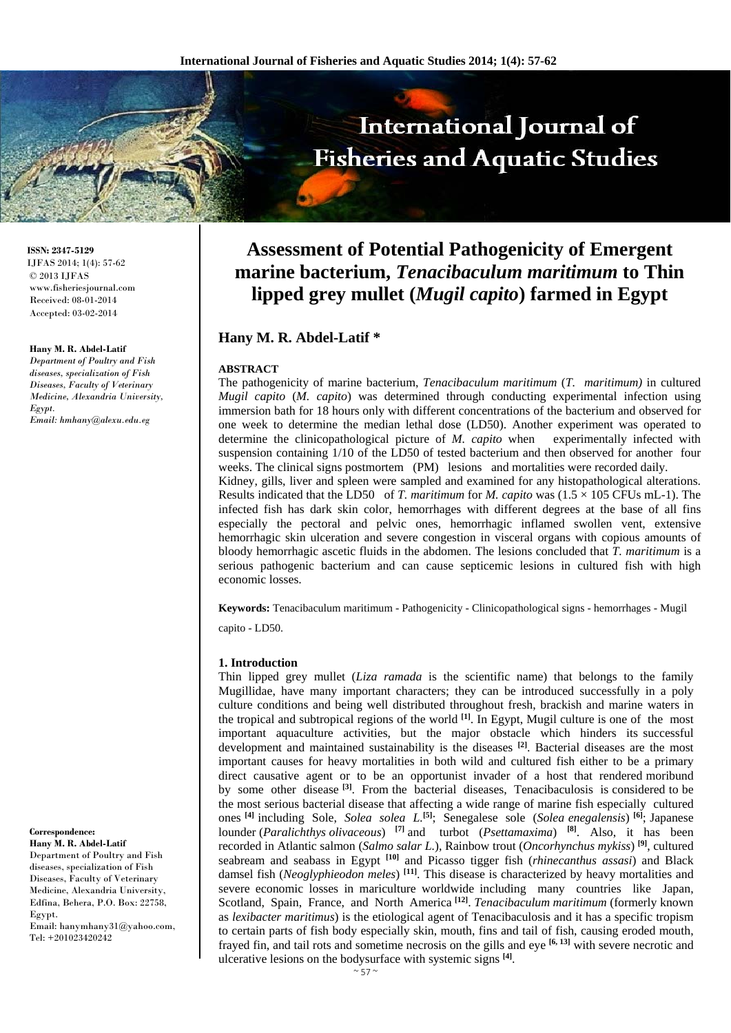# International Journal of **Fisheries and Aquatic Studies**

**Assessment of Potential Pathogenicity of Emergent marine bacterium,** *Tenacibaculum maritimum* **to Thin lipped grey mullet (***Mugil capito***) farmed in Egypt** 

# **Hany M. R. Abdel-Latif \***

#### **ABSTRACT**

The pathogenicity of marine bacterium, *Tenacibaculum maritimum* (*T. maritimum)* in cultured *Mugil capito* (*M. capito*) was determined through conducting experimental infection using immersion bath for 18 hours only with different concentrations of the bacterium and observed for one week to determine the median lethal dose (LD50). Another experiment was operated to determine the clinicopathological picture of *M. capito* when experimentally infected with suspension containing 1/10 of the LD50 of tested bacterium and then observed for another four weeks. The clinical signs postmortem (PM) lesions and mortalities were recorded daily. Kidney, gills, liver and spleen were sampled and examined for any histopathological alterations. Results indicated that the LD50 of *T. maritimum* for *M. capito* was (1.5 × 105 CFUs mL-1). The

infected fish has dark skin color, hemorrhages with different degrees at the base of all fins especially the pectoral and pelvic ones, hemorrhagic inflamed swollen vent, extensive hemorrhagic skin ulceration and severe congestion in visceral organs with copious amounts of bloody hemorrhagic ascetic fluids in the abdomen. The lesions concluded that *T. maritimum* is a serious pathogenic bacterium and can cause septicemic lesions in cultured fish with high economic losses.

**Keywords:** Tenacibaculum maritimum - Pathogenicity - Clinicopathological signs - hemorrhages - Mugil

capito - LD50.

#### **1. Introduction**

Thin lipped grey mullet (*Liza ramada* is the scientific name) that belongs to the family Mugillidae, have many important characters; they can be introduced successfully in a poly culture conditions and being well distributed throughout fresh, brackish and marine waters in the tropical and subtropical regions of the world **[1]**. In Egypt, Mugil culture is one of the most important aquaculture activities, but the major obstacle which hinders its successful development and maintained sustainability is the diseases **[2]**. Bacterial diseases are the most important causes for heavy mortalities in both wild and cultured fish either to be a primary direct causative agent or to be an opportunist invader of a host that rendered moribund by some other disease **[3]**. From the bacterial diseases, Tenacibaculosis is considered to be the most serious bacterial disease that affecting a wide range of marine fish especially cultured ones **[4]** including Sole, *Solea solea L.***[5]**; Senegalese sole (*Solea enegalensis*) **[6]**; Japanese lounder (*Paralichthys olivaceous*) **[7]** and turbot (*Psettamaxima*) **[8]**. Also, it has been recorded in Atlantic salmon (*Salmo salar L.*), Rainbow trout (*Oncorhynchus mykiss*) **[9]**, cultured seabream and seabass in Egypt **[10]** and Picasso tigger fish (*rhinecanthus assasi*) and Black damsel fish (*Neoglyphieodon meles*) **[11]**. This disease is characterized by heavy mortalities and severe economic losses in mariculture worldwide including many countries like Japan, Scotland, Spain, France, and North America **[12]**. *Tenacibaculum maritimum* (formerly known as *lexibacter maritimus*) is the etiological agent of Tenacibaculosis and it has a specific tropism to certain parts of fish body especially skin, mouth, fins and tail of fish, causing eroded mouth, frayed fin, and tail rots and sometime necrosis on the gills and eye **[6, 13]** with severe necrotic and ulcerative lesions on the bodysurface with systemic signs **[4]**.

**ISSN: 2347-5129** IJFAS 2014; 1(4): 57-62 © 2013 IJFAS www.fisheriesjournal.com Received: 08-01-2014 Accepted: 03-02-2014

#### **Hany M. R. Abdel-Latif**

*Department of Poultry and Fish diseases, specialization of Fish Diseases, Faculty of Veterinary Medicine, Alexandria University, Egypt. Email: hmhany@alexu.edu.eg* 

#### **Hany M. R. Abdel-Latif**  Department of Poultry and Fish

**Correspondence:** 

diseases, specialization of Fish Diseases, Faculty of Veterinary Medicine, Alexandria University, Edfina, Behera, P.O. Box: 22758, Egypt. Email: hanymhany31@yahoo.com,

Tel: +201023420242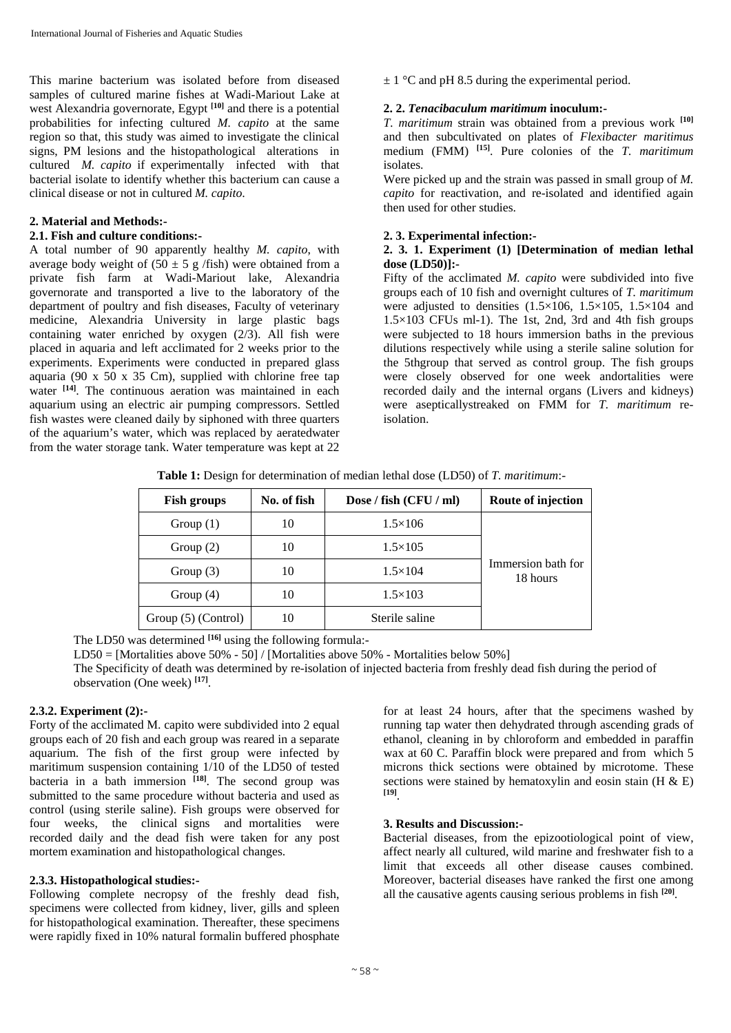This marine bacterium was isolated before from diseased samples of cultured marine fishes at Wadi-Mariout Lake at west Alexandria governorate, Egypt **[10]** and there is a potential probabilities for infecting cultured *M. capito* at the same region so that, this study was aimed to investigate the clinical signs, PM lesions and the histopathological alterations in cultured *M. capito* if experimentally infected with that bacterial isolate to identify whether this bacterium can cause a clinical disease or not in cultured *M. capito*.

### **2. Material and Methods:-**

# **2.1. Fish and culture conditions:-**

A total number of 90 apparently healthy *M. capito*, with average body weight of  $(50 \pm 5 \text{ g}/\text{fish})$  were obtained from a private fish farm at Wadi-Mariout lake, Alexandria governorate and transported a live to the laboratory of the department of poultry and fish diseases, Faculty of veterinary medicine, Alexandria University in large plastic bags containing water enriched by oxygen (2/3). All fish were placed in aquaria and left acclimated for 2 weeks prior to the experiments. Experiments were conducted in prepared glass aquaria (90 x  $50 \times 35$  Cm), supplied with chlorine free tap water <sup>[14]</sup>. The continuous aeration was maintained in each aquarium using an electric air pumping compressors. Settled fish wastes were cleaned daily by siphoned with three quarters of the aquarium's water, which was replaced by aeratedwater from the water storage tank. Water temperature was kept at 22

 $\pm$  1 °C and pH 8.5 during the experimental period.

#### **2. 2.** *Tenacibaculum maritimum* **inoculum:-**

*T. maritimum* strain was obtained from a previous work **[10]** and then subcultivated on plates of *Flexibacter maritimus*  medium (FMM) **[15]**. Pure colonies of the *T. maritimum*  isolates.

Were picked up and the strain was passed in small group of *M. capito* for reactivation, and re-isolated and identified again then used for other studies.

## **2. 3. Experimental infection:-**

# **2. 3. 1. Experiment (1) [Determination of median lethal dose (LD50)]:-**

Fifty of the acclimated *M. capito* were subdivided into five groups each of 10 fish and overnight cultures of *T. maritimum*  were adjusted to densities  $(1.5\times106, 1.5\times105, 1.5\times104$  and  $1.5 \times 103$  CFUs ml-1). The 1st, 2nd, 3rd and 4th fish groups were subjected to 18 hours immersion baths in the previous dilutions respectively while using a sterile saline solution for the 5thgroup that served as control group. The fish groups were closely observed for one week andortalities were recorded daily and the internal organs (Livers and kidneys) were asepticallystreaked on FMM for *T. maritimum* reisolation.

| <b>Table 1:</b> Design for determination of median lethal dose (LD50) of <i>T. maritimum</i> :- |  |
|-------------------------------------------------------------------------------------------------|--|
|-------------------------------------------------------------------------------------------------|--|

| <b>Fish groups</b>                     | No. of fish | Dose / fish (CFU / ml) | Route of injection             |
|----------------------------------------|-------------|------------------------|--------------------------------|
| Group $(1)$                            | 10          | $1.5\times106$         |                                |
| Group $(2)$                            | 10          | $1.5 \times 105$       |                                |
| 10<br>Group $(3)$<br>10<br>Group $(4)$ |             | $1.5 \times 104$       | Immersion bath for<br>18 hours |
|                                        |             | $1.5 \times 103$       |                                |
| Group (5) (Control)                    | 10          | Sterile saline         |                                |

The LD50 was determined **[16]** using the following formula:-

LD50 = [Mortalities above 50% - 50] / [Mortalities above 50% - Mortalities below 50%]

The Specificity of death was determined by re-isolation of injected bacteria from freshly dead fish during the period of observation (One week) **[17]**.

# **2.3.2. Experiment (2):-**

Forty of the acclimated M. capito were subdivided into 2 equal groups each of 20 fish and each group was reared in a separate aquarium. The fish of the first group were infected by maritimum suspension containing 1/10 of the LD50 of tested bacteria in a bath immersion **[18]**. The second group was submitted to the same procedure without bacteria and used as control (using sterile saline). Fish groups were observed for four weeks, the clinical signs and mortalities were recorded daily and the dead fish were taken for any post mortem examination and histopathological changes.

#### **2.3.3. Histopathological studies:-**

Following complete necropsy of the freshly dead fish, specimens were collected from kidney, liver, gills and spleen for histopathological examination. Thereafter, these specimens were rapidly fixed in 10% natural formalin buffered phosphate

for at least 24 hours, after that the specimens washed by running tap water then dehydrated through ascending grads of ethanol, cleaning in by chloroform and embedded in paraffin wax at 60 C. Paraffin block were prepared and from which 5 microns thick sections were obtained by microtome. These sections were stained by hematoxylin and eosin stain  $(H & E)$ **[19]**.

### **3. Results and Discussion:-**

Bacterial diseases, from the epizootiological point of view, affect nearly all cultured, wild marine and freshwater fish to a limit that exceeds all other disease causes combined. Moreover, bacterial diseases have ranked the first one among all the causative agents causing serious problems in fish **[20]***.*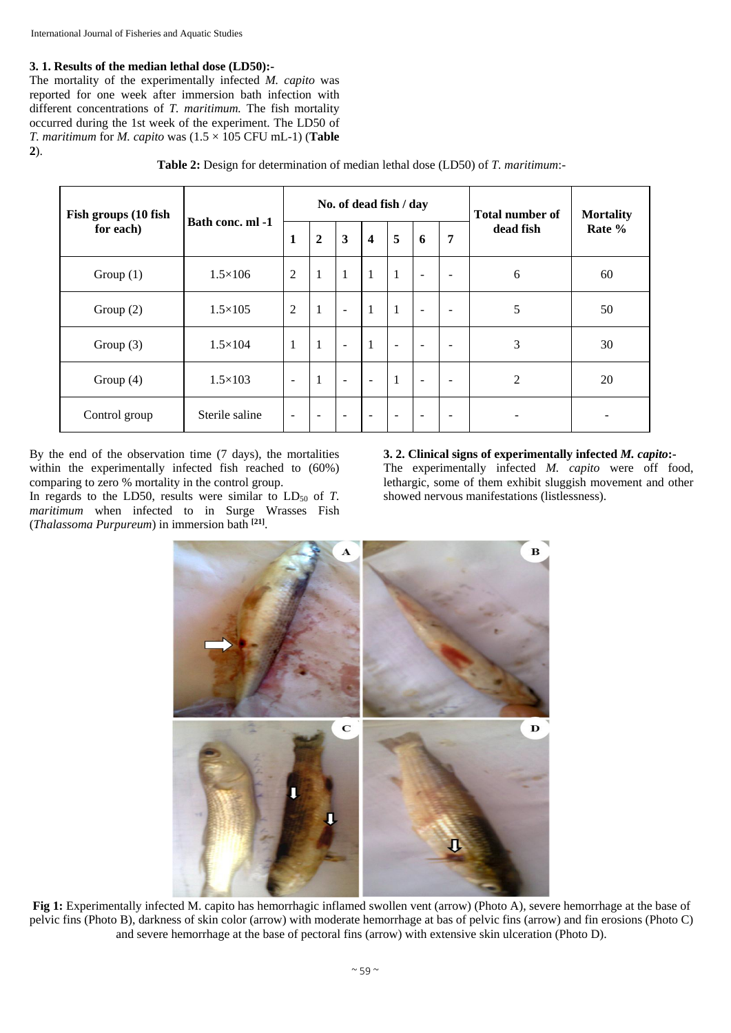# **3. 1. Results of the median lethal dose (LD50):-**

The mortality of the experimentally infected *M. capito* was reported for one week after immersion bath infection with different concentrations of *T. maritimum.* The fish mortality occurred during the 1st week of the experiment. The LD50 of *T. maritimum* for *M. capito* was  $(1.5 \times 105$  CFU mL-1) (**Table 2**).

| Fish groups (10 fish<br>for each) | Bath conc. ml -1 | No. of dead fish / day   |                          |                          |                          |                          |                          |                          | <b>Total number of</b> | <b>Mortality</b> |
|-----------------------------------|------------------|--------------------------|--------------------------|--------------------------|--------------------------|--------------------------|--------------------------|--------------------------|------------------------|------------------|
|                                   |                  | 1                        | $\boldsymbol{2}$         | $\mathbf{3}$             | $\overline{\mathbf{4}}$  | 5                        | 6                        | 7                        | dead fish              | Rate %           |
| Group $(1)$                       | $1.5 \times 106$ | $\overline{2}$           | -1                       | $\mathbf{1}$             | $\mathbf{1}$             | $\mathbf{1}$             | $\overline{\phantom{a}}$ | $\overline{\phantom{a}}$ | 6                      | 60               |
| Group $(2)$                       | $1.5 \times 105$ | $\overline{2}$           | $\mathbf{1}$             | $\blacksquare$           | $\mathbf{1}$             | $\mathbf{1}$             | $\overline{\phantom{a}}$ | $\overline{\phantom{a}}$ | 5                      | 50               |
| Group $(3)$                       | $1.5 \times 104$ | 1                        | $\mathbf{1}$             | $\overline{a}$           | $\mathbf{1}$             | $\overline{\phantom{a}}$ | $\overline{\phantom{a}}$ | $\overline{\phantom{a}}$ | 3                      | 30               |
| Group $(4)$                       | $1.5 \times 103$ | $\blacksquare$           | $\mathbf{1}$             | $\blacksquare$           | $\blacksquare$           | $\mathbf{1}$             | $\overline{\phantom{a}}$ | $\overline{\phantom{a}}$ | 2                      | 20               |
| Control group                     | Sterile saline   | $\overline{\phantom{a}}$ | $\overline{\phantom{a}}$ | $\overline{\phantom{a}}$ | $\overline{\phantom{a}}$ | $\sim$                   | $\overline{\phantom{a}}$ | $\overline{\phantom{a}}$ |                        |                  |

**Table 2:** Design for determination of median lethal dose (LD50) of *T. maritimum*:-

By the end of the observation time (7 days), the mortalities within the experimentally infected fish reached to (60%) comparing to zero % mortality in the control group.

In regards to the LD50, results were similar to  $LD_{50}$  of *T*. *maritimum* when infected to in Surge Wrasses Fish (*Thalassoma Purpureum*) in immersion bath **[21]**.

#### **3. 2. Clinical signs of experimentally infected** *M. capito***:-**  The experimentally infected *M. capito* were off food, lethargic, some of them exhibit sluggish movement and other showed nervous manifestations (listlessness).



**Fig 1:** Experimentally infected M. capito has hemorrhagic inflamed swollen vent (arrow) (Photo A), severe hemorrhage at the base of pelvic fins (Photo B), darkness of skin color (arrow) with moderate hemorrhage at bas of pelvic fins (arrow) and fin erosions (Photo C) and severe hemorrhage at the base of pectoral fins (arrow) with extensive skin ulceration (Photo D).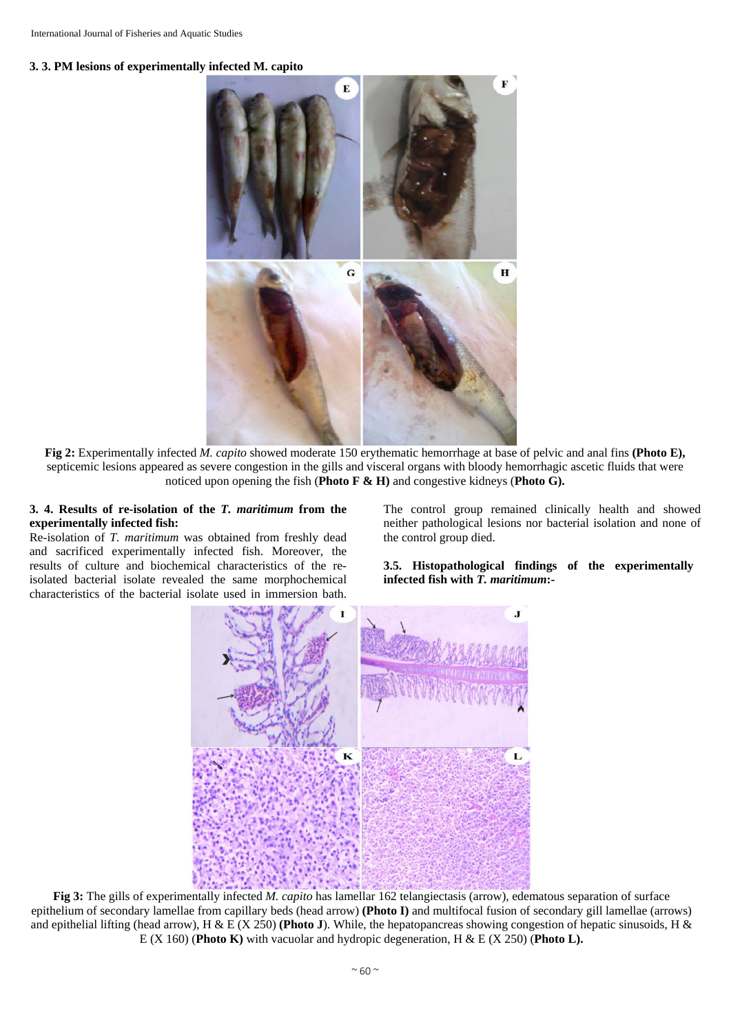



**Fig 2:** Experimentally infected *M. capito* showed moderate 150 erythematic hemorrhage at base of pelvic and anal fins **(Photo E),**  septicemic lesions appeared as severe congestion in the gills and visceral organs with bloody hemorrhagic ascetic fluids that were noticed upon opening the fish (**Photo F & H)** and congestive kidneys (**Photo G).** 

### **3. 4. Results of re-isolation of the** *T. maritimum* **from the experimentally infected fish:**

Re-isolation of *T. maritimum* was obtained from freshly dead and sacrificed experimentally infected fish. Moreover, the results of culture and biochemical characteristics of the reisolated bacterial isolate revealed the same morphochemical characteristics of the bacterial isolate used in immersion bath.

The control group remained clinically health and showed neither pathological lesions nor bacterial isolation and none of the control group died.

**3.5. Histopathological findings of the experimentally infected fish with** *T. maritimum***:-**



**Fig 3:** The gills of experimentally infected *M. capito* has lamellar 162 telangiectasis (arrow), edematous separation of surface epithelium of secondary lamellae from capillary beds (head arrow) **(Photo I)** and multifocal fusion of secondary gill lamellae (arrows) and epithelial lifting (head arrow), H & E (X 250) **(Photo J**). While, the hepatopancreas showing congestion of hepatic sinusoids, H & E (X 160) (**Photo K)** with vacuolar and hydropic degeneration, H & E (X 250) (**Photo L).**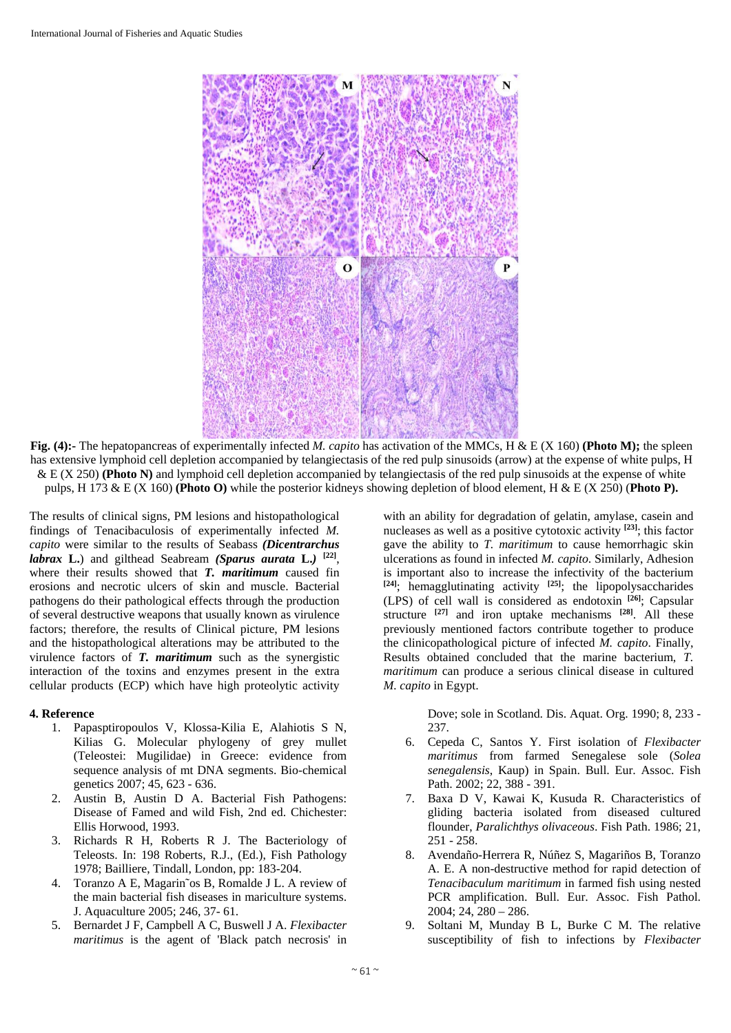

**Fig. (4):-** The hepatopancreas of experimentally infected *M. capito* has activation of the MMCs, H & E (X 160) **(Photo M);** the spleen has extensive lymphoid cell depletion accompanied by telangiectasis of the red pulp sinusoids (arrow) at the expense of white pulps, H & E (X 250) **(Photo N)** and lymphoid cell depletion accompanied by telangiectasis of the red pulp sinusoids at the expense of white pulps, H 173 & E (X 160) **(Photo O)** while the posterior kidneys showing depletion of blood element, H & E (X 250) (**Photo P).** 

The results of clinical signs, PM lesions and histopathological findings of Tenacibaculosis of experimentally infected *M. capito* were similar to the results of Seabass *(Dicentrarchus labrax* **L.**) and gilthead Seabream *(Sparus aurata* **L.***)* **[22]**, where their results showed that *T. maritimum* caused fin erosions and necrotic ulcers of skin and muscle. Bacterial pathogens do their pathological effects through the production of several destructive weapons that usually known as virulence factors; therefore, the results of Clinical picture, PM lesions and the histopathological alterations may be attributed to the virulence factors of *T. maritimum* such as the synergistic interaction of the toxins and enzymes present in the extra cellular products (ECP) which have high proteolytic activity

#### **4. Reference**

- 1. Papasptiropoulos V, Klossa-Kilia E, Alahiotis S N, Kilias G. Molecular phylogeny of grey mullet (Teleostei: Mugilidae) in Greece: evidence from sequence analysis of mt DNA segments. Bio-chemical genetics 2007; 45, 623 - 636.
- 2. Austin B, Austin D A. Bacterial Fish Pathogens: Disease of Famed and wild Fish, 2nd ed. Chichester: Ellis Horwood, 1993.
- 3. Richards R H, Roberts R J. The Bacteriology of Teleosts. In: 198 Roberts, R.J., (Ed.), Fish Pathology 1978; Bailliere, Tindall, London, pp: 183-204.
- 4. Toranzo A E, Magarin˜os B, Romalde J L. A review of the main bacterial fish diseases in mariculture systems. J. Aquaculture 2005; 246, 37- 61.
- 5. Bernardet J F, Campbell A C, Buswell J A. *Flexibacter maritimus* is the agent of 'Black patch necrosis' in

with an ability for degradation of gelatin, amylase, casein and nucleases as well as a positive cytotoxic activity **[23]**; this factor gave the ability to *T. maritimum* to cause hemorrhagic skin ulcerations as found in infected *M. capito*. Similarly, Adhesion is important also to increase the infectivity of the bacterium **[24]**; hemagglutinating activity **[25]**; the lipopolysaccharides (LPS) of cell wall is considered as endotoxin **[26]**; Capsular structure **[27]** and iron uptake mechanisms **[28]**. All these previously mentioned factors contribute together to produce the clinicopathological picture of infected *M. capito*. Finally, Results obtained concluded that the marine bacterium, *T. maritimum* can produce a serious clinical disease in cultured *M. capito* in Egypt.

> Dove; sole in Scotland. Dis. Aquat. Org. 1990; 8, 233 - 237.

- 6. Cepeda C, Santos Y. First isolation of *Flexibacter maritimus* from farmed Senegalese sole (*Solea senegalensis*, Kaup) in Spain. Bull. Eur. Assoc. Fish Path. 2002; 22, 388 - 391.
- 7. Baxa D V, Kawai K, Kusuda R. Characteristics of gliding bacteria isolated from diseased cultured flounder, *Paralichthys olivaceous*. Fish Path. 1986; 21, 251 - 258.
- 8. Avendaño-Herrera R, Núñez S, Magariños B, Toranzo A. E. A non-destructive method for rapid detection of *Tenacibaculum maritimum* in farmed fish using nested PCR amplification. Bull. Eur. Assoc. Fish Pathol. 2004; 24, 280 – 286.
- 9. Soltani M, Munday B L, Burke C M. The relative susceptibility of fish to infections by *Flexibacter*